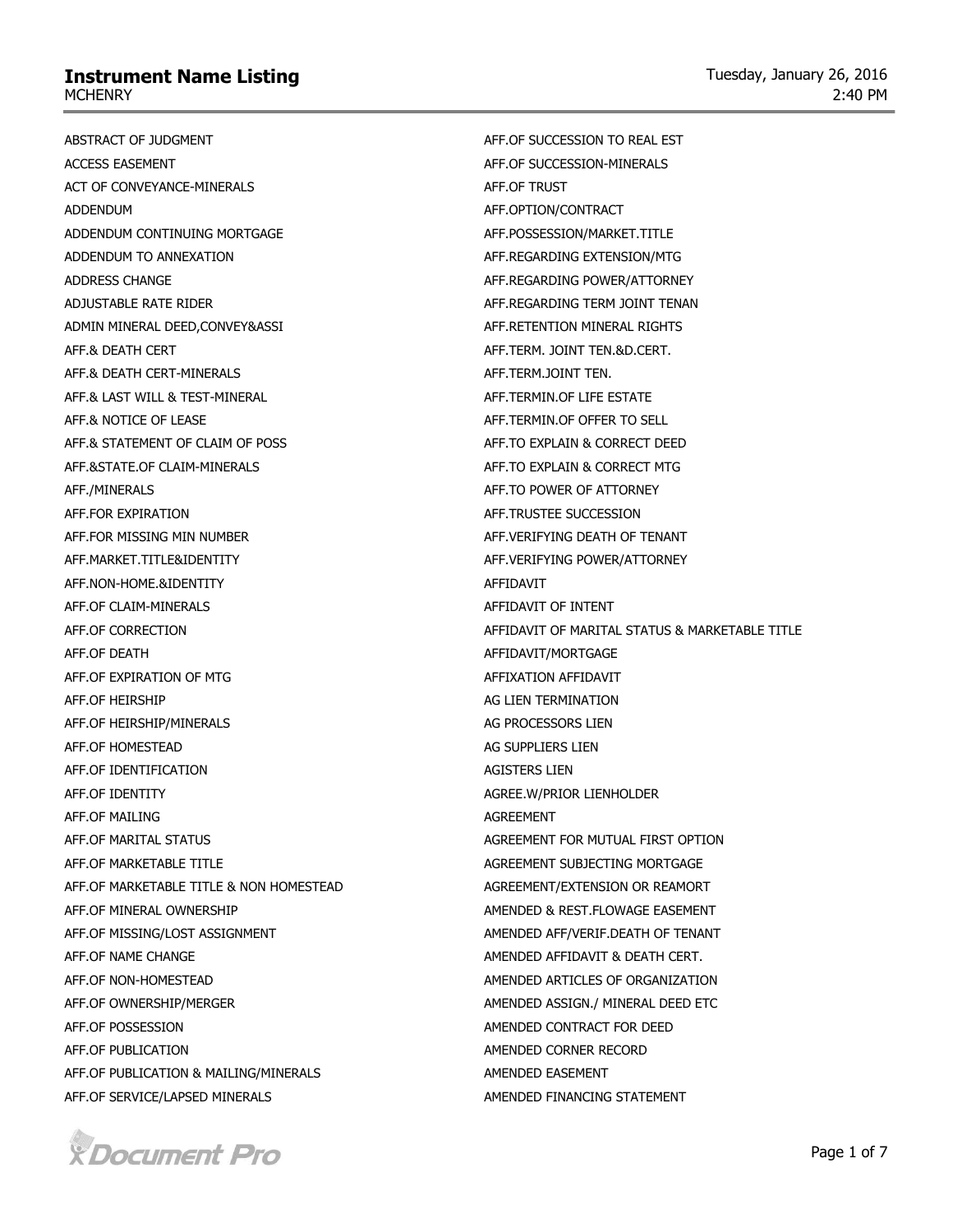ABSTRACT OF JUDGMENT ACCESS EASEMENT ACT OF CONVEYANCE-MINERALS ADDENDUM ADDENDUM CONTINUING MORTGAGE ADDENDUM TO ANNEXATION ADDRESS CHANGE ADJUSTABLE RATE RIDER ADMIN MINERAL DEED,CONVEY&ASSI AFF.& DEATH CERT AFF.& DEATH CERT-MINERALS AFF.& LAST WILL & TEST-MINERAL AFF.& NOTICE OF LEASE AFF.& STATEMENT OF CLAIM OF POSS AFF.&STATE.OF CLAIM-MINERALS AFF./MINERALS AFF.FOR EXPIRATION AFF.FOR MISSING MIN NUMBER AFF.MARKET.TITLE&IDENTITY AFF.NON-HOME.&IDENTITY AFF.OF CLAIM-MINERALS AFF.OF CORRECTION AFF.OF DEATH AFF.OF EXPIRATION OF MTG AFF.OF HEIRSHIP AFF.OF HEIRSHIP/MINERALS AFF.OF HOMESTEAD AFF.OF IDENTIFICATION AFF.OF IDENTITY AFF.OF MAILING AFF.OF MARITAL STATUS AFF.OF MARKETABLE TITLE AFF.OF MARKETABLE TITLE & NON HOMESTEAD AFF.OF MINERAL OWNERSHIP AFF.OF MISSING/LOST ASSIGNMENT AFF.OF NAME CHANGE AFF.OF NON-HOMESTEAD AFF.OF OWNERSHIP/MERGER AFF.OF POSSESSION AFF.OF PUBLICATION AFF.OF PUBLICATION & MAILING/MINERALS AFF.OF SERVICE/LAPSED MINERALS AFF.OF SUCCESSION TO REAL EST AFF.OF SUCCESSION-MINERALS AFF.OF TRUST AFF.OPTION/CONTRACT AFF.POSSESSION/MARKET.TITLE AFF.REGARDING EXTENSION/MTG AFF.REGARDING POWER/ATTORNEY AFF.REGARDING TERM JOINT TENAN AFF.RETENTION MINERAL RIGHTS AFF.TERM. JOINT TEN.&D.CERT. AFF.TERM.JOINT TEN. AFF.TERMIN.OF LIFE ESTATE AFF.TERMIN.OF OFFER TO SELL AFF.TO EXPLAIN & CORRECT DEED AFF.TO EXPLAIN & CORRECT MTG AFF.TO POWER OF ATTORNEY AFF.TRUSTEE SUCCESSION AFF.VERIFYING DEATH OF TENANT AFF.VERIFYING POWER/ATTORNEY AFFIDAVIT AFFIDAVIT OF INTENT AFFIDAVIT OF MARITAL STATUS & MARKETABLE TITLE AFFIDAVIT/MORTGAGE AFFIXATION AFFIDAVIT AG LIEN TERMINATION AG PROCESSORS LIEN AG SUPPLIERS LIEN AGISTERS LIEN AGREE.W/PRIOR LIENHOLDER AGREEMENT AGREEMENT FOR MUTUAL FIRST OPTION AGREEMENT SUBJECTING MORTGAGE AGREEMENT/EXTENSION OR REAMORT AMENDED & REST.FLOWAGE EASEMENT AMENDED AFF/VERIF.DEATH OF TENANT AMENDED AFFIDAVIT & DEATH CERT. AMENDED ARTICLES OF ORGANIZATION AMENDED ASSIGN./ MINERAL DEED ETC AMENDED CONTRACT FOR DEED AMENDED CORNER RECORD AMENDED EASEMENT AMENDED FINANCING STATEMENT

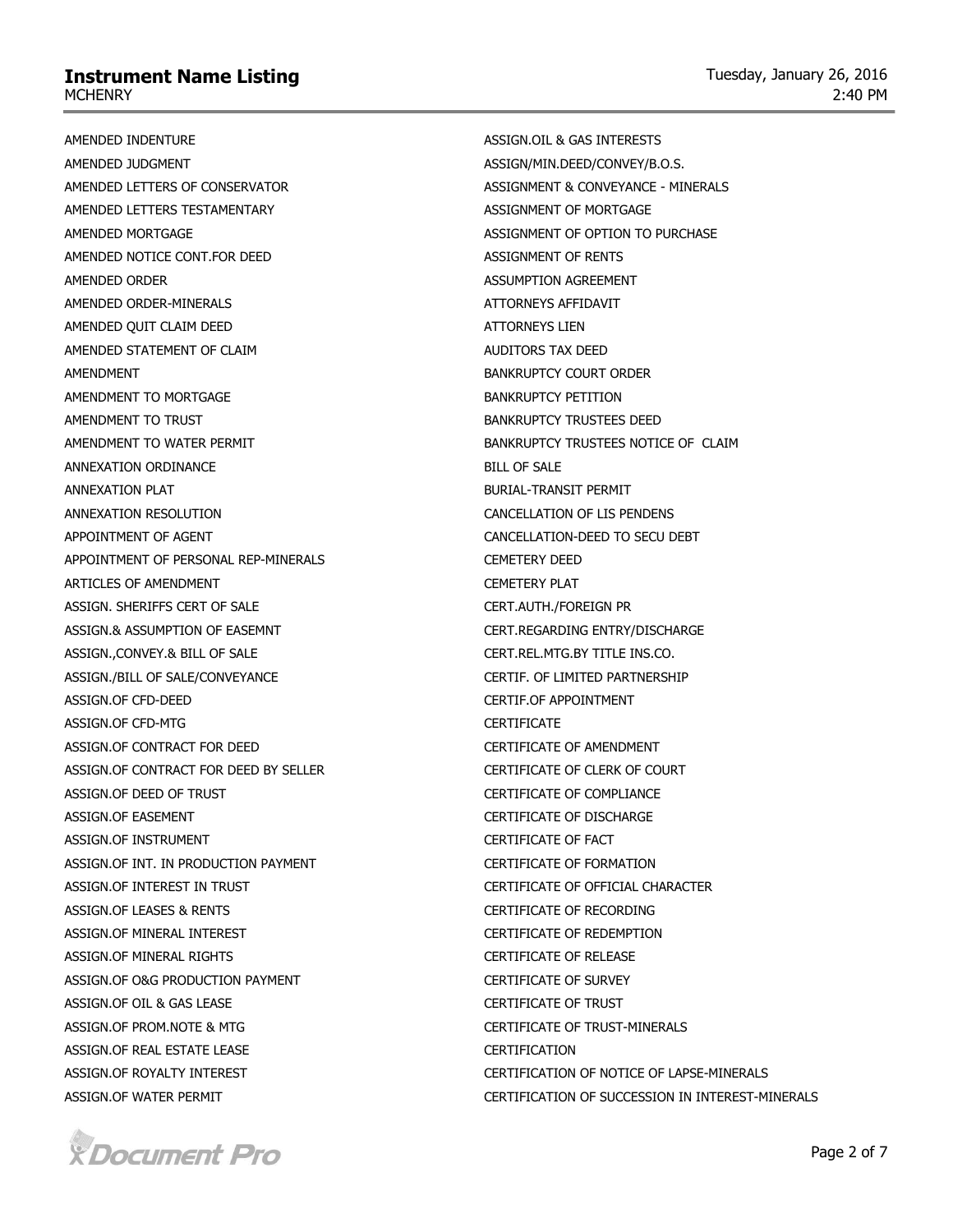AMENDED INDENTURE AMENDED JUDGMENT AMENDED LETTERS OF CONSERVATOR AMENDED LETTERS TESTAMENTARY AMENDED MORTGAGE AMENDED NOTICE CONT.FOR DEED AMENDED ORDER AMENDED ORDER-MINERALS AMENDED QUIT CLAIM DEED AMENDED STATEMENT OF CLAIM AMENDMENT AMENDMENT TO MORTGAGE AMENDMENT TO TRUST AMENDMENT TO WATER PERMIT ANNEXATION ORDINANCE ANNEXATION PLAT ANNEXATION RESOLUTION APPOINTMENT OF AGENT APPOINTMENT OF PERSONAL REP-MINERALS ARTICLES OF AMENDMENT ASSIGN. SHERIFFS CERT OF SALE ASSIGN.& ASSUMPTION OF EASEMNT ASSIGN.,CONVEY.& BILL OF SALE ASSIGN./BILL OF SALE/CONVEYANCE ASSIGN.OF CFD-DEED ASSIGN.OF CFD-MTG ASSIGN.OF CONTRACT FOR DEED ASSIGN.OF CONTRACT FOR DEED BY SELLER ASSIGN.OF DEED OF TRUST ASSIGN.OF EASEMENT ASSIGN.OF INSTRUMENT ASSIGN.OF INT. IN PRODUCTION PAYMENT ASSIGN.OF INTEREST IN TRUST ASSIGN.OF LEASES & RENTS ASSIGN.OF MINERAL INTEREST ASSIGN.OF MINERAL RIGHTS ASSIGN.OF O&G PRODUCTION PAYMENT ASSIGN.OF OIL & GAS LEASE ASSIGN.OF PROM.NOTE & MTG ASSIGN.OF REAL ESTATE LEASE ASSIGN.OF ROYALTY INTEREST ASSIGN.OF WATER PERMIT

ASSIGN.OIL & GAS INTERESTS ASSIGN/MIN.DEED/CONVEY/B.O.S. ASSIGNMENT & CONVEYANCE - MINERALS ASSIGNMENT OF MORTGAGE ASSIGNMENT OF OPTION TO PURCHASE ASSIGNMENT OF RENTS ASSUMPTION AGREEMENT ATTORNEYS AFFIDAVIT ATTORNEYS LIEN AUDITORS TAX DEED BANKRUPTCY COURT ORDER BANKRUPTCY PETITION BANKRUPTCY TRUSTEES DEED BANKRUPTCY TRUSTEES NOTICE OF CLAIM BILL OF SALE BURIAL-TRANSIT PERMIT CANCELLATION OF LIS PENDENS CANCELLATION-DEED TO SECU DEBT CEMETERY DEED CEMETERY PLAT CERT.AUTH./FOREIGN PR CERT.REGARDING ENTRY/DISCHARGE CERT.REL.MTG.BY TITLE INS.CO. CERTIF. OF LIMITED PARTNERSHIP CERTIF.OF APPOINTMENT CERTIFICATE CERTIFICATE OF AMENDMENT CERTIFICATE OF CLERK OF COURT CERTIFICATE OF COMPLIANCE CERTIFICATE OF DISCHARGE CERTIFICATE OF FACT CERTIFICATE OF FORMATION CERTIFICATE OF OFFICIAL CHARACTER CERTIFICATE OF RECORDING CERTIFICATE OF REDEMPTION CERTIFICATE OF RELEASE CERTIFICATE OF SURVEY CERTIFICATE OF TRUST CERTIFICATE OF TRUST-MINERALS CERTIFICATION CERTIFICATION OF NOTICE OF LAPSE-MINERALS CERTIFICATION OF SUCCESSION IN INTEREST-MINERALS

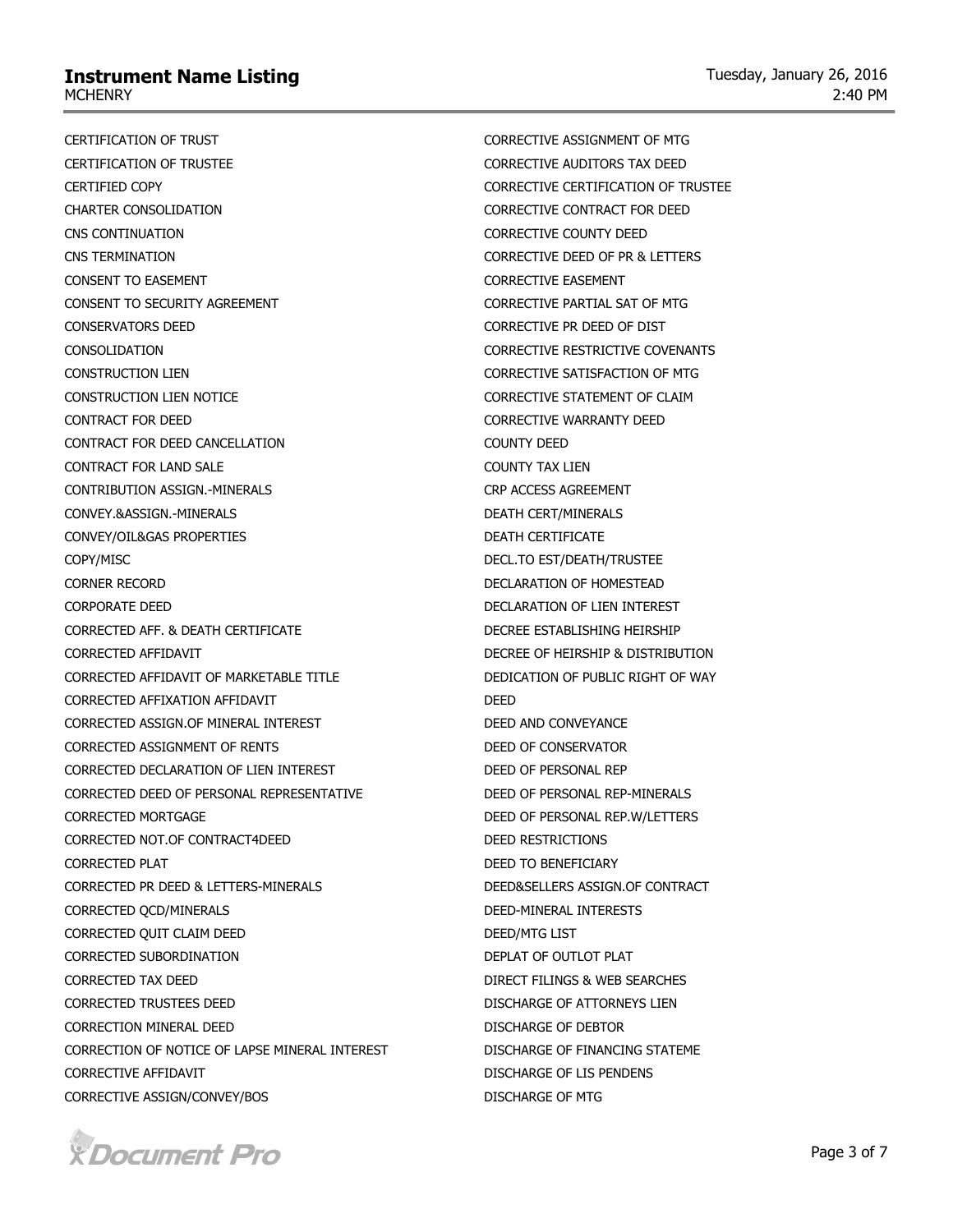CERTIFICATION OF TRUST CERTIFICATION OF TRUSTEE CERTIFIED COPY CHARTER CONSOLIDATION CNS CONTINUATION CNS TERMINATION CONSENT TO EASEMENT CONSENT TO SECURITY AGREEMENT CONSERVATORS DEED CONSOLIDATION CONSTRUCTION LIEN CONSTRUCTION LIEN NOTICE CONTRACT FOR DEED CONTRACT FOR DEED CANCELLATION CONTRACT FOR LAND SALE CONTRIBUTION ASSIGN.-MINERALS CONVEY.&ASSIGN.-MINERALS CONVEY/OIL&GAS PROPERTIES COPY/MISC CORNER RECORD CORPORATE DEED CORRECTED AFF. & DEATH CERTIFICATE CORRECTED AFFIDAVIT CORRECTED AFFIDAVIT OF MARKETABLE TITLE CORRECTED AFFIXATION AFFIDAVIT CORRECTED ASSIGN.OF MINERAL INTEREST CORRECTED ASSIGNMENT OF RENTS CORRECTED DECLARATION OF LIEN INTEREST CORRECTED DEED OF PERSONAL REPRESENTATIVE CORRECTED MORTGAGE CORRECTED NOT.OF CONTRACT4DEED CORRECTED PLAT CORRECTED PR DEED & LETTERS-MINERALS CORRECTED QCD/MINERALS CORRECTED QUIT CLAIM DEED CORRECTED SUBORDINATION CORRECTED TAX DEED CORRECTED TRUSTEES DEED CORRECTION MINERAL DEED CORRECTION OF NOTICE OF LAPSE MINERAL INTEREST CORRECTIVE AFFIDAVIT CORRECTIVE ASSIGN/CONVEY/BOS

CORRECTIVE ASSIGNMENT OF MTG CORRECTIVE AUDITORS TAX DEED CORRECTIVE CERTIFICATION OF TRUSTEE CORRECTIVE CONTRACT FOR DEED CORRECTIVE COUNTY DEED CORRECTIVE DEED OF PR & LETTERS CORRECTIVE EASEMENT CORRECTIVE PARTIAL SAT OF MTG CORRECTIVE PR DEED OF DIST CORRECTIVE RESTRICTIVE COVENANTS CORRECTIVE SATISFACTION OF MTG CORRECTIVE STATEMENT OF CLAIM CORRECTIVE WARRANTY DEED COUNTY DEED COUNTY TAX LIEN CRP ACCESS AGREEMENT DEATH CERT/MINERALS DEATH CERTIFICATE DECL.TO EST/DEATH/TRUSTEE DECLARATION OF HOMESTEAD DECLARATION OF LIEN INTEREST DECREE ESTABLISHING HEIRSHIP DECREE OF HEIRSHIP & DISTRIBUTION DEDICATION OF PUBLIC RIGHT OF WAY DEED DEED AND CONVEYANCE DEED OF CONSERVATOR DEED OF PERSONAL REP DEED OF PERSONAL REP-MINERALS DEED OF PERSONAL REP.W/LETTERS DEED RESTRICTIONS DEED TO BENEFICIARY DEED&SELLERS ASSIGN.OF CONTRACT DEED-MINERAL INTERESTS DEED/MTG LIST DEPLAT OF OUTLOT PLAT DIRECT FILINGS & WEB SEARCHES DISCHARGE OF ATTORNEYS LIEN DISCHARGE OF DEBTOR DISCHARGE OF FINANCING STATEME DISCHARGE OF LIS PENDENS DISCHARGE OF MTG

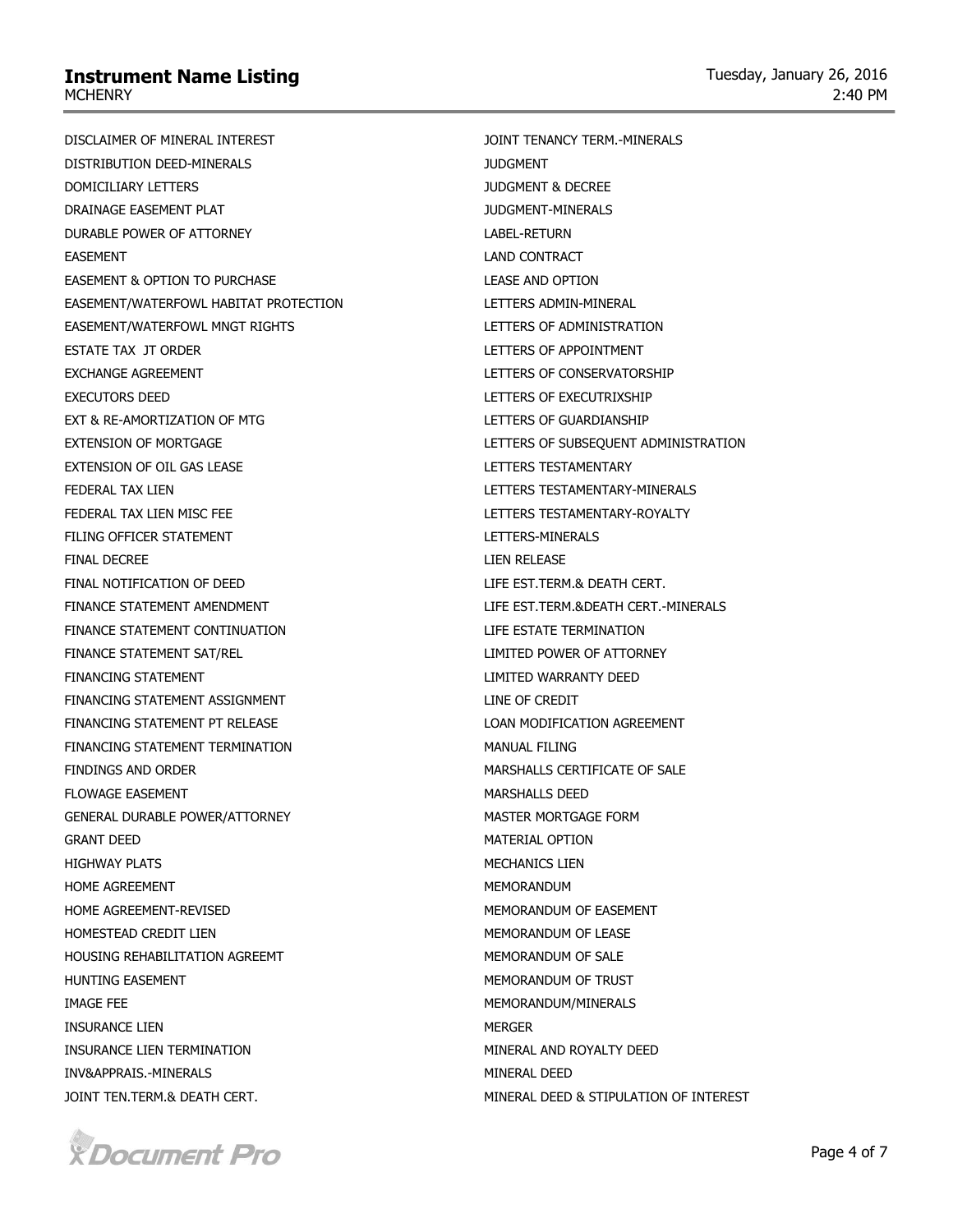DISCLAIMER OF MINERAL INTEREST DISTRIBUTION DEED-MINERALS DOMICILIARY LETTERS DRAINAGE EASEMENT PLAT DURABLE POWER OF ATTORNEY EASEMENT EASEMENT & OPTION TO PURCHASE EASEMENT/WATERFOWL HABITAT PROTECTION EASEMENT/WATERFOWL MNGT RIGHTS ESTATE TAX JT ORDER EXCHANGE AGREEMENT EXECUTORS DEED EXT & RE-AMORTIZATION OF MTG EXTENSION OF MORTGAGE EXTENSION OF OIL GAS LEASE FEDERAL TAX LIEN FEDERAL TAX LIEN MISC FEE FILING OFFICER STATEMENT FINAL DECREE FINAL NOTIFICATION OF DEED FINANCE STATEMENT AMENDMENT FINANCE STATEMENT CONTINUATION FINANCE STATEMENT SAT/REL FINANCING STATEMENT FINANCING STATEMENT ASSIGNMENT FINANCING STATEMENT PT RELEASE FINANCING STATEMENT TERMINATION FINDINGS AND ORDER FLOWAGE EASEMENT GENERAL DURABLE POWER/ATTORNEY GRANT DEED HIGHWAY PLATS HOME AGREEMENT HOME AGREEMENT-REVISED HOMESTEAD CREDIT LIEN HOUSING REHABILITATION AGREEMT HUNTING EASEMENT IMAGE FEE INSURANCE LIEN INSURANCE LIEN TERMINATION INV&APPRAIS.-MINERALS JOINT TEN.TERM.& DEATH CERT.



JOINT TENANCY TERM.-MINERALS JUDGMENT JUDGMENT & DECREE JUDGMENT-MINERALS LABEL-RETURN LAND CONTRACT LEASE AND OPTION LETTERS ADMIN-MINERAL LETTERS OF ADMINISTRATION LETTERS OF APPOINTMENT LETTERS OF CONSERVATORSHIP LETTERS OF EXECUTRIXSHIP LETTERS OF GUARDIANSHIP LETTERS OF SUBSEQUENT ADMINISTRATION LETTERS TESTAMENTARY LETTERS TESTAMENTARY-MINERALS LETTERS TESTAMENTARY-ROYALTY LETTERS-MINERALS LIEN RELEASE LIFE EST.TERM.& DEATH CERT. LIFE EST.TERM.&DEATH CERT.-MINERALS LIFE ESTATE TERMINATION LIMITED POWER OF ATTORNEY LIMITED WARRANTY DEED LINE OF CREDIT LOAN MODIFICATION AGREEMENT MANUAL FILING MARSHALLS CERTIFICATE OF SALE MARSHALLS DEED MASTER MORTGAGE FORM MATERIAL OPTION MECHANICS LIEN MEMORANDUM MEMORANDUM OF EASEMENT MEMORANDUM OF LEASE MEMORANDUM OF SALE MEMORANDUM OF TRUST MEMORANDUM/MINERALS MERGER MINERAL AND ROYALTY DEED MINERAL DEED MINERAL DEED & STIPULATION OF INTEREST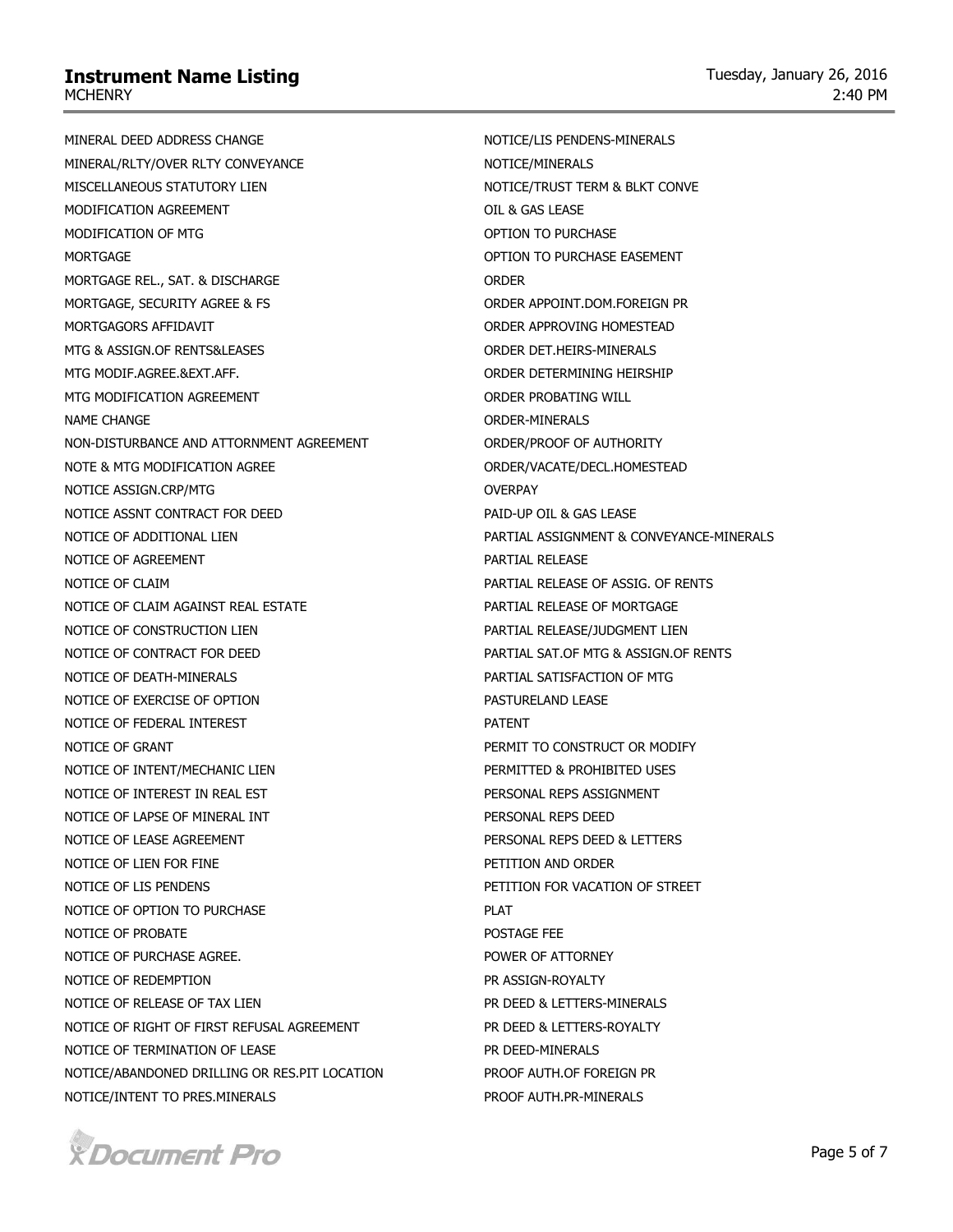MINERAL DEED ADDRESS CHANGE MINERAL/RLTY/OVER RLTY CONVEYANCE MISCELLANEOUS STATUTORY LIEN MODIFICATION AGREEMENT MODIFICATION OF MTG **MORTGAGE** MORTGAGE REL., SAT. & DISCHARGE MORTGAGE, SECURITY AGREE & FS MORTGAGORS AFFIDAVIT MTG & ASSIGN.OF RENTS&LEASES MTG MODIF.AGREE.&EXT.AFF. MTG MODIFICATION AGREEMENT NAME CHANGE NON-DISTURBANCE AND ATTORNMENT AGREEMENT NOTE & MTG MODIFICATION AGREE NOTICE ASSIGN.CRP/MTG NOTICE ASSNT CONTRACT FOR DEED NOTICE OF ADDITIONAL LIEN NOTICE OF AGREEMENT NOTICE OF CLAIM NOTICE OF CLAIM AGAINST REAL ESTATE NOTICE OF CONSTRUCTION LIEN NOTICE OF CONTRACT FOR DEED NOTICE OF DEATH-MINERALS NOTICE OF EXERCISE OF OPTION NOTICE OF FEDERAL INTEREST NOTICE OF GRANT NOTICE OF INTENT/MECHANIC LIEN NOTICE OF INTEREST IN REAL EST NOTICE OF LAPSE OF MINERAL INT NOTICE OF LEASE AGREEMENT NOTICE OF LIEN FOR FINE NOTICE OF LIS PENDENS NOTICE OF OPTION TO PURCHASE NOTICE OF PROBATE NOTICE OF PURCHASE AGREE. NOTICE OF REDEMPTION NOTICE OF RELEASE OF TAX LIEN NOTICE OF RIGHT OF FIRST REFUSAL AGREEMENT NOTICE OF TERMINATION OF LEASE NOTICE/ABANDONED DRILLING OR RES.PIT LOCATION NOTICE/INTENT TO PRES.MINERALS

NOTICE/LIS PENDENS-MINERALS NOTICE/MINERALS NOTICE/TRUST TERM & BLKT CONVE OIL & GAS LEASE OPTION TO PURCHASE OPTION TO PURCHASE EASEMENT **ORDER** ORDER APPOINT.DOM.FOREIGN PR ORDER APPROVING HOMESTEAD ORDER DET.HEIRS-MINERALS ORDER DETERMINING HEIRSHIP ORDER PROBATING WILL ORDER-MINERALS ORDER/PROOF OF AUTHORITY ORDER/VACATE/DECL.HOMESTEAD OVERPAY PAID-UP OIL & GAS LEASE PARTIAL ASSIGNMENT & CONVEYANCE-MINERALS PARTIAL RELEASE PARTIAL RELEASE OF ASSIG. OF RENTS PARTIAL RELEASE OF MORTGAGE PARTIAL RELEASE/JUDGMENT LIEN PARTIAL SAT.OF MTG & ASSIGN.OF RENTS PARTIAL SATISFACTION OF MTG PASTURELAND LEASE PATENT PERMIT TO CONSTRUCT OR MODIFY PERMITTED & PROHIBITED USES PERSONAL REPS ASSIGNMENT PERSONAL REPS DEED PERSONAL REPS DEED & LETTERS PETITION AND ORDER PETITION FOR VACATION OF STREET **PLAT** POSTAGE FEE POWER OF ATTORNEY PR ASSIGN-ROYALTY PR DEED & LETTERS-MINERALS PR DEED & LETTERS-ROYALTY PR DEED-MINERALS PROOF AUTH.OF FOREIGN PR PROOF AUTH.PR-MINERALS

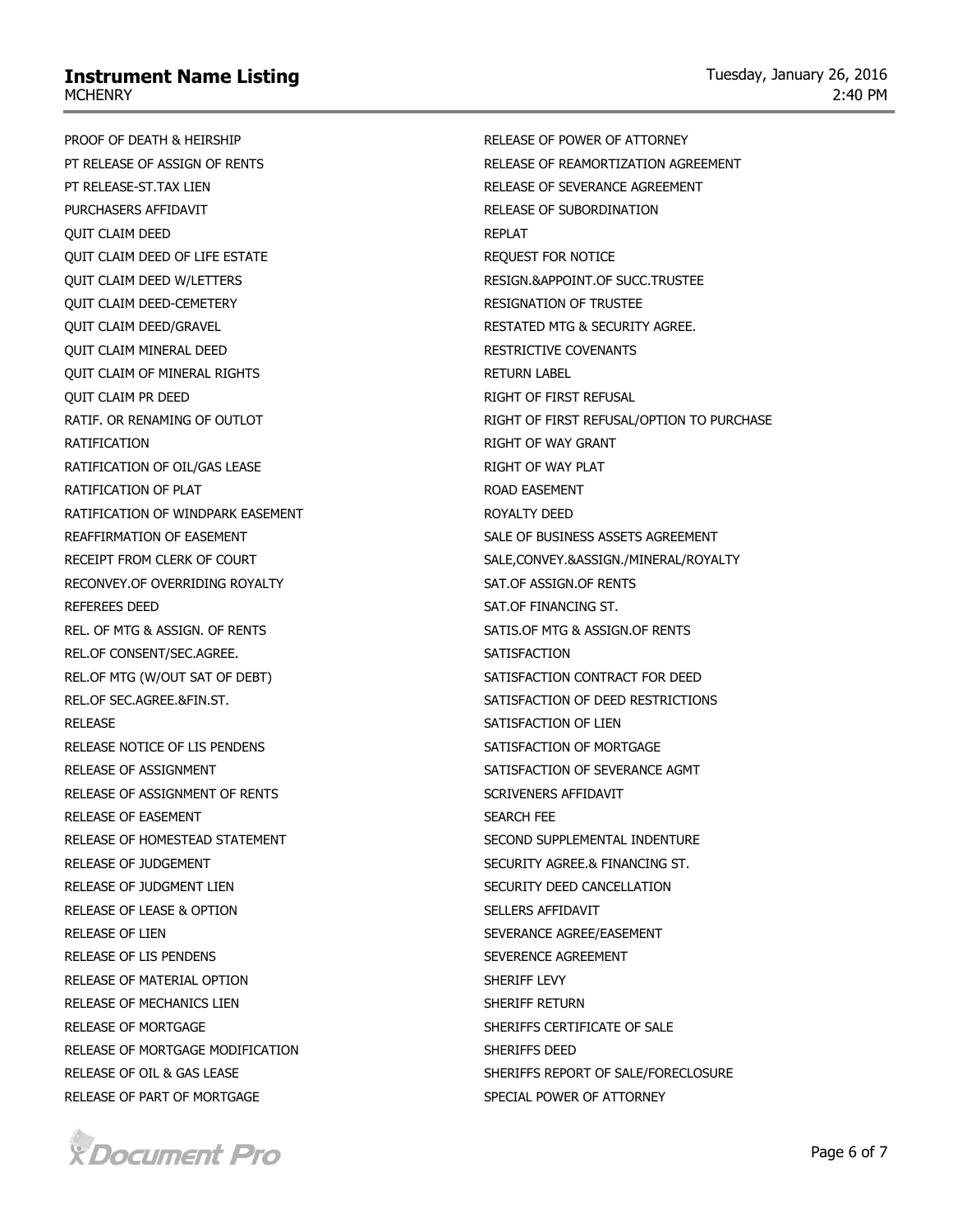PROOF OF DEATH & HEIRSHIP PT RELEASE OF ASSIGN OF RENTS PT RELEASE-ST.TAX LIEN PURCHASERS AFFIDAVIT QUIT CLAIM DEED QUIT CLAIM DEED OF LIFE ESTATE QUIT CLAIM DEED W/LETTERS QUIT CLAIM DEED-CEMETERY QUIT CLAIM DEED/GRAVEL QUIT CLAIM MINERAL DEED QUIT CLAIM OF MINERAL RIGHTS QUIT CLAIM PR DEED RATIF. OR RENAMING OF OUTLOT RATIFICATION RATIFICATION OF OIL/GAS LEASE RATIFICATION OF PLAT RATIFICATION OF WINDPARK EASEMENT REAFFIRMATION OF EASEMENT RECEIPT FROM CLERK OF COURT RECONVEY.OF OVERRIDING ROYALTY REFEREES DEED REL. OF MTG & ASSIGN. OF RENTS REL.OF CONSENT/SEC.AGREE. REL.OF MTG (W/OUT SAT OF DEBT) REL.OF SEC.AGREE.&FIN.ST. RELEASE RELEASE NOTICE OF LIS PENDENS RELEASE OF ASSIGNMENT RELEASE OF ASSIGNMENT OF RENTS RELEASE OF EASEMENT RELEASE OF HOMESTEAD STATEMENT RELEASE OF JUDGEMENT RELEASE OF JUDGMENT LIEN RELEASE OF LEASE & OPTION RELEASE OF LIEN RELEASE OF LIS PENDENS RELEASE OF MATERIAL OPTION RELEASE OF MECHANICS LIEN RELEASE OF MORTGAGE RELEASE OF MORTGAGE MODIFICATION RELEASE OF OIL & GAS LEASE RELEASE OF PART OF MORTGAGE



RELEASE OF POWER OF ATTORNEY RELEASE OF REAMORTIZATION AGREEMENT RELEASE OF SEVERANCE AGREEMENT RELEASE OF SUBORDINATION REPLAT REQUEST FOR NOTICE RESIGN.&APPOINT.OF SUCC.TRUSTEE RESIGNATION OF TRUSTEE RESTATED MTG & SECURITY AGREE. RESTRICTIVE COVENANTS RETURN LABEL RIGHT OF FIRST REFUSAL RIGHT OF FIRST REFUSAL/OPTION TO PURCHASE RIGHT OF WAY GRANT RIGHT OF WAY PLAT ROAD EASEMENT ROYALTY DEED SALE OF BUSINESS ASSETS AGREEMENT SALE,CONVEY.&ASSIGN./MINERAL/ROYALTY SAT.OF ASSIGN.OF RENTS SAT.OF FINANCING ST. SATIS.OF MTG & ASSIGN.OF RENTS **SATISFACTION** SATISFACTION CONTRACT FOR DEED SATISFACTION OF DEED RESTRICTIONS SATISFACTION OF LIEN SATISFACTION OF MORTGAGE SATISFACTION OF SEVERANCE AGMT SCRIVENERS AFFIDAVIT SEARCH FEE SECOND SUPPLEMENTAL INDENTURE SECURITY AGREE.& FINANCING ST. SECURITY DEED CANCELLATION SELLERS AFFIDAVIT SEVERANCE AGREE/EASEMENT SEVERENCE AGREEMENT SHERIFF LEVY SHERIFF RETURN SHERIFFS CERTIFICATE OF SALE SHERIFFS DEED SHERIFFS REPORT OF SALE/FORECLOSURE SPECIAL POWER OF ATTORNEY